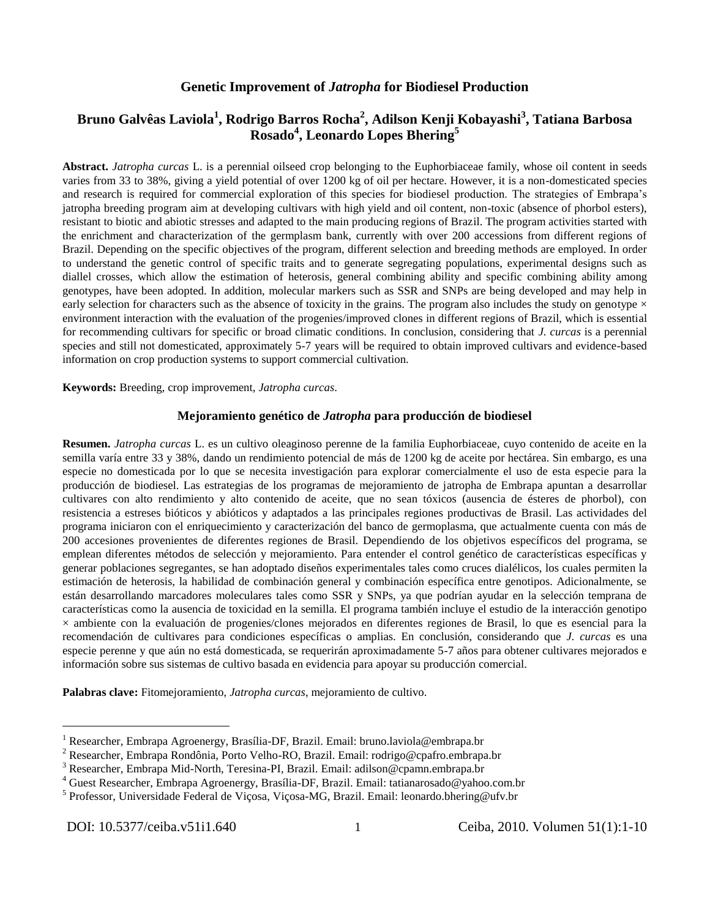## **Genetic Improvement of** *Jatropha* **for Biodiesel Production**

# **Bruno Galvêas Laviola<sup>1</sup> , Rodrigo Barros Rocha<sup>2</sup> , Adilson Kenji Kobayashi<sup>3</sup> , Tatiana Barbosa Rosado<sup>4</sup> , Leonardo Lopes Bhering<sup>5</sup>**

**Abstract.** *Jatropha curcas* L. is a perennial oilseed crop belonging to the Euphorbiaceae family, whose oil content in seeds varies from 33 to 38%, giving a yield potential of over 1200 kg of oil per hectare. However, it is a non-domesticated species and research is required for commercial exploration of this species for biodiesel production. The strategies of Embrapa's jatropha breeding program aim at developing cultivars with high yield and oil content, non-toxic (absence of phorbol esters), resistant to biotic and abiotic stresses and adapted to the main producing regions of Brazil. The program activities started with the enrichment and characterization of the germplasm bank, currently with over 200 accessions from different regions of Brazil. Depending on the specific objectives of the program, different selection and breeding methods are employed. In order to understand the genetic control of specific traits and to generate segregating populations, experimental designs such as diallel crosses, which allow the estimation of heterosis, general combining ability and specific combining ability among genotypes, have been adopted. In addition, molecular markers such as SSR and SNPs are being developed and may help in early selection for characters such as the absence of toxicity in the grains. The program also includes the study on genotype  $\times$ environment interaction with the evaluation of the progenies/improved clones in different regions of Brazil, which is essential for recommending cultivars for specific or broad climatic conditions. In conclusion, considering that *J. curcas* is a perennial species and still not domesticated, approximately 5-7 years will be required to obtain improved cultivars and evidence-based information on crop production systems to support commercial cultivation.

**Keywords:** Breeding, crop improvement, *Jatropha curcas*.

#### **Mejoramiento genético de** *Jatropha* **para producción de biodiesel**

**Resumen.** *Jatropha curcas* L. es un cultivo oleaginoso perenne de la familia Euphorbiaceae, cuyo contenido de aceite en la semilla varía entre 33 y 38%, dando un rendimiento potencial de más de 1200 kg de aceite por hectárea. Sin embargo, es una especie no domesticada por lo que se necesita investigación para explorar comercialmente el uso de esta especie para la producción de biodiesel. Las estrategias de los programas de mejoramiento de jatropha de Embrapa apuntan a desarrollar cultivares con alto rendimiento y alto contenido de aceite, que no sean tóxicos (ausencia de ésteres de phorbol), con resistencia a estreses bióticos y abióticos y adaptados a las principales regiones productivas de Brasil. Las actividades del programa iniciaron con el enriquecimiento y caracterización del banco de germoplasma, que actualmente cuenta con más de 200 accesiones provenientes de diferentes regiones de Brasil. Dependiendo de los objetivos específicos del programa, se emplean diferentes métodos de selección y mejoramiento. Para entender el control genético de características específicas y generar poblaciones segregantes, se han adoptado diseños experimentales tales como cruces dialélicos, los cuales permiten la estimación de heterosis, la habilidad de combinación general y combinación específica entre genotipos. Adicionalmente, se están desarrollando marcadores moleculares tales como SSR y SNPs, ya que podrían ayudar en la selección temprana de características como la ausencia de toxicidad en la semilla. El programa también incluye el estudio de la interacción genotipo  $\times$  ambiente con la evaluación de progenies/clones mejorados en diferentes regiones de Brasil, lo que es esencial para la recomendación de cultivares para condiciones específicas o amplias. En conclusión, considerando que *J. curcas* es una especie perenne y que aún no está domesticada, se requerirán aproximadamente 5-7 años para obtener cultivares mejorados e información sobre sus sistemas de cultivo basada en evidencia para apoyar su producción comercial.

**Palabras clave:** Fitomejoramiento, *Jatropha curcas*, mejoramiento de cultivo.

<u>.</u>

<sup>&</sup>lt;sup>1</sup> Researcher, Embrapa Agroenergy, Brasília-DF, Brazil. Email: bruno.laviola@embrapa.br

<sup>2</sup> Researcher, Embrapa Rondônia, Porto Velho-RO, Brazil. Email: rodrigo@cpafro.embrapa.br

<sup>3</sup> Researcher, Embrapa Mid-North, Teresina-PI, Brazil. Email: adilson@cpamn.embrapa.br

<sup>4</sup> Guest Researcher, Embrapa Agroenergy, Brasília-DF, Brazil. Email: tatianarosado@yahoo.com.br

<sup>&</sup>lt;sup>5</sup> Professor, Universidade Federal de Viçosa, Viçosa-MG, Brazil. Email: leonardo.bhering@ufv.br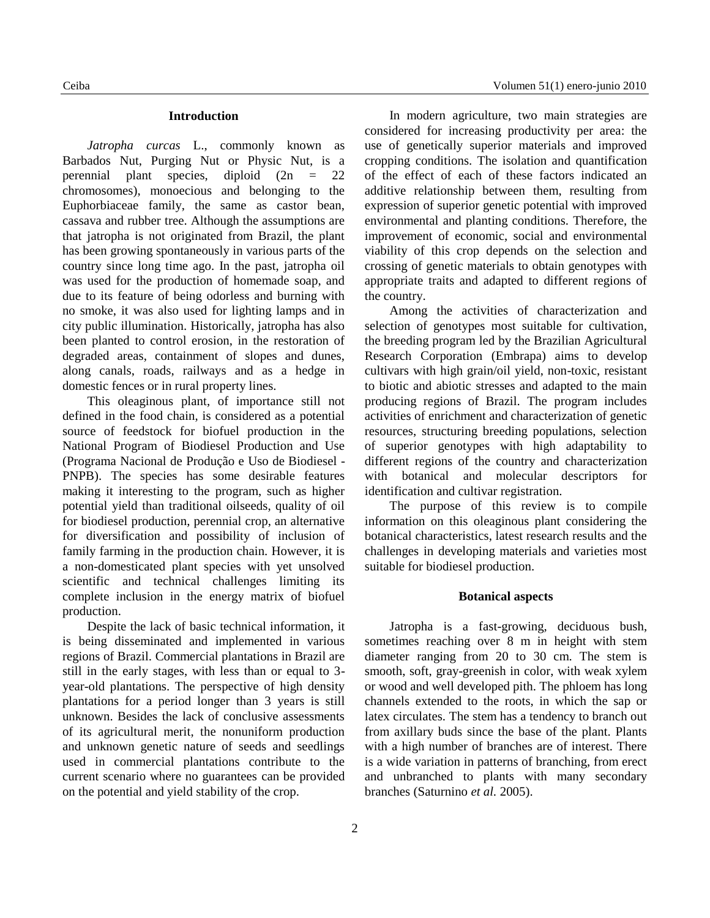#### **Introduction**

*Jatropha curcas* L., commonly known as Barbados Nut, Purging Nut or Physic Nut, is a perennial plant species, diploid (2n = 22 chromosomes), monoecious and belonging to the Euphorbiaceae family, the same as castor bean, cassava and rubber tree. Although the assumptions are that jatropha is not originated from Brazil, the plant has been growing spontaneously in various parts of the country since long time ago. In the past, jatropha oil was used for the production of homemade soap, and due to its feature of being odorless and burning with no smoke, it was also used for lighting lamps and in city public illumination. Historically, jatropha has also been planted to control erosion, in the restoration of degraded areas, containment of slopes and dunes, along canals, roads, railways and as a hedge in domestic fences or in rural property lines.

This oleaginous plant, of importance still not defined in the food chain, is considered as a potential source of feedstock for biofuel production in the National Program of Biodiesel Production and Use (Programa Nacional de Produção e Uso de Biodiesel - PNPB). The species has some desirable features making it interesting to the program, such as higher potential yield than traditional oilseeds, quality of oil for biodiesel production, perennial crop, an alternative for diversification and possibility of inclusion of family farming in the production chain. However, it is a non-domesticated plant species with yet unsolved scientific and technical challenges limiting its complete inclusion in the energy matrix of biofuel production.

Despite the lack of basic technical information, it is being disseminated and implemented in various regions of Brazil. Commercial plantations in Brazil are still in the early stages, with less than or equal to 3 year-old plantations. The perspective of high density plantations for a period longer than 3 years is still unknown. Besides the lack of conclusive assessments of its agricultural merit, the nonuniform production and unknown genetic nature of seeds and seedlings used in commercial plantations contribute to the current scenario where no guarantees can be provided on the potential and yield stability of the crop.

In modern agriculture, two main strategies are considered for increasing productivity per area: the use of genetically superior materials and improved cropping conditions. The isolation and quantification of the effect of each of these factors indicated an additive relationship between them, resulting from expression of superior genetic potential with improved environmental and planting conditions. Therefore, the improvement of economic, social and environmental viability of this crop depends on the selection and crossing of genetic materials to obtain genotypes with appropriate traits and adapted to different regions of the country.

Among the activities of characterization and selection of genotypes most suitable for cultivation, the breeding program led by the Brazilian Agricultural Research Corporation (Embrapa) aims to develop cultivars with high grain/oil yield, non-toxic, resistant to biotic and abiotic stresses and adapted to the main producing regions of Brazil. The program includes activities of enrichment and characterization of genetic resources, structuring breeding populations, selection of superior genotypes with high adaptability to different regions of the country and characterization with botanical and molecular descriptors for identification and cultivar registration.

The purpose of this review is to compile information on this oleaginous plant considering the botanical characteristics, latest research results and the challenges in developing materials and varieties most suitable for biodiesel production.

#### **Botanical aspects**

Jatropha is a fast-growing, deciduous bush, sometimes reaching over 8 m in height with stem diameter ranging from 20 to 30 cm. The stem is smooth, soft, gray-greenish in color, with weak xylem or wood and well developed pith. The phloem has long channels extended to the roots, in which the sap or latex circulates. The stem has a tendency to branch out from axillary buds since the base of the plant. Plants with a high number of branches are of interest. There is a wide variation in patterns of branching, from erect and unbranched to plants with many secondary branches (Saturnino *et al.* 2005).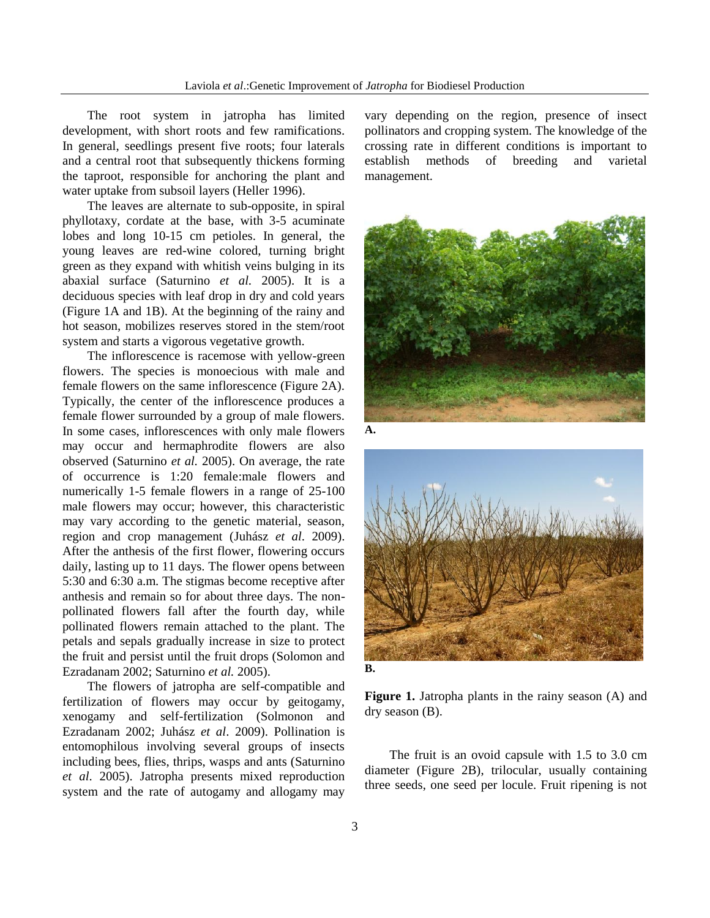The root system in jatropha has limited development, with short roots and few ramifications. In general, seedlings present five roots; four laterals and a central root that subsequently thickens forming the taproot, responsible for anchoring the plant and water uptake from subsoil layers (Heller 1996).

The leaves are alternate to sub-opposite, in spiral phyllotaxy, cordate at the base, with 3-5 acuminate lobes and long 10-15 cm petioles. In general, the young leaves are red-wine colored, turning bright green as they expand with whitish veins bulging in its abaxial surface (Saturnino *et al.* 2005). It is a deciduous species with leaf drop in dry and cold years (Figure 1A and 1B). At the beginning of the rainy and hot season, mobilizes reserves stored in the stem/root system and starts a vigorous vegetative growth.

The inflorescence is racemose with yellow-green flowers. The species is monoecious with male and female flowers on the same inflorescence (Figure 2A). Typically, the center of the inflorescence produces a female flower surrounded by a group of male flowers. In some cases, inflorescences with only male flowers may occur and hermaphrodite flowers are also observed (Saturnino *et al.* 2005). On average, the rate of occurrence is 1:20 female:male flowers and numerically 1-5 female flowers in a range of 25-100 male flowers may occur; however, this characteristic may vary according to the genetic material, season, region and crop management (Juhász *et al*. 2009). After the anthesis of the first flower, flowering occurs daily, lasting up to 11 days. The flower opens between 5:30 and 6:30 a.m. The stigmas become receptive after anthesis and remain so for about three days. The nonpollinated flowers fall after the fourth day, while pollinated flowers remain attached to the plant. The petals and sepals gradually increase in size to protect the fruit and persist until the fruit drops (Solomon and Ezradanam 2002; Saturnino *et al.* 2005).

The flowers of jatropha are self-compatible and fertilization of flowers may occur by geitogamy, xenogamy and self-fertilization (Solmonon and Ezradanam 2002; Juhász *et al*. 2009). Pollination is entomophilous involving several groups of insects including bees, flies, thrips, wasps and ants (Saturnino *et al*. 2005). Jatropha presents mixed reproduction system and the rate of autogamy and allogamy may

vary depending on the region, presence of insect pollinators and cropping system. The knowledge of the crossing rate in different conditions is important to establish methods of breeding and varietal management.





**B.**

**Figure 1.** Jatropha plants in the rainy season (A) and dry season (B).

The fruit is an ovoid capsule with 1.5 to 3.0 cm diameter (Figure 2B), trilocular, usually containing three seeds, one seed per locule. Fruit ripening is not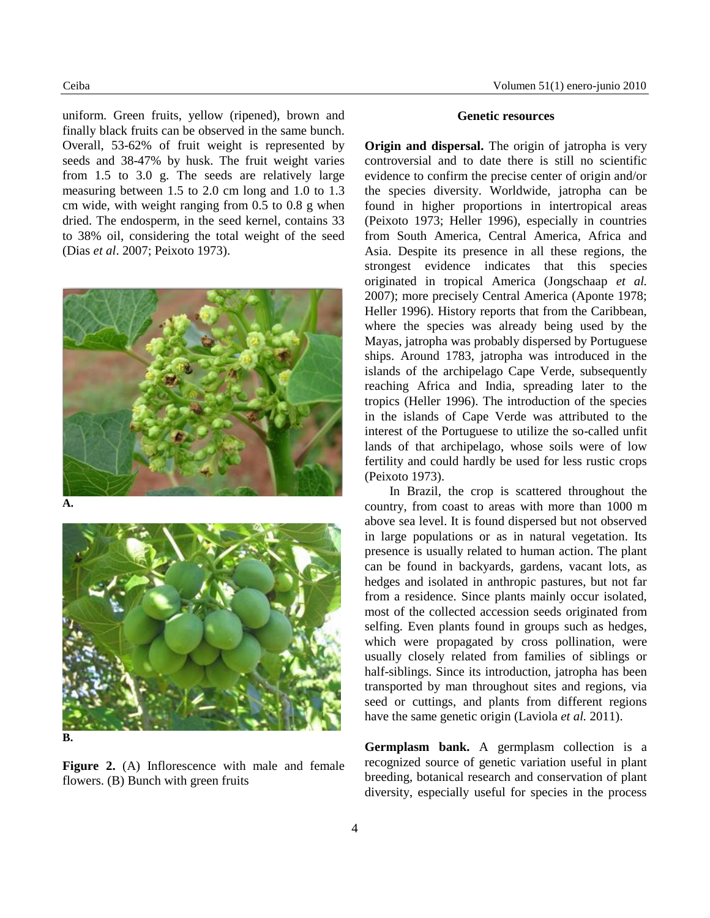uniform. Green fruits, yellow (ripened), brown and finally black fruits can be observed in the same bunch. Overall, 53-62% of fruit weight is represented by seeds and 38-47% by husk. The fruit weight varies from 1.5 to 3.0 g. The seeds are relatively large measuring between 1.5 to 2.0 cm long and 1.0 to 1.3 cm wide, with weight ranging from 0.5 to 0.8 g when dried. The endosperm, in the seed kernel, contains 33 to 38% oil, considering the total weight of the seed (Dias *et al*. 2007; Peixoto 1973).



**A.**



**B.**

Figure 2. (A) Inflorescence with male and female flowers. (B) Bunch with green fruits

#### **Genetic resources**

**Origin and dispersal.** The origin of jatropha is very controversial and to date there is still no scientific evidence to confirm the precise center of origin and/or the species diversity. Worldwide, jatropha can be found in higher proportions in intertropical areas (Peixoto 1973; Heller 1996), especially in countries from South America, Central America, Africa and Asia. Despite its presence in all these regions, the strongest evidence indicates that this species originated in tropical America (Jongschaap *et al.* 2007); more precisely Central America (Aponte 1978; Heller 1996). History reports that from the Caribbean, where the species was already being used by the Mayas, jatropha was probably dispersed by Portuguese ships. Around 1783, jatropha was introduced in the islands of the archipelago Cape Verde, subsequently reaching Africa and India, spreading later to the tropics (Heller 1996). The introduction of the species in the islands of Cape Verde was attributed to the interest of the Portuguese to utilize the so-called unfit lands of that archipelago, whose soils were of low fertility and could hardly be used for less rustic crops (Peixoto 1973).

In Brazil, the crop is scattered throughout the country, from coast to areas with more than 1000 m above sea level. It is found dispersed but not observed in large populations or as in natural vegetation. Its presence is usually related to human action. The plant can be found in backyards, gardens, vacant lots, as hedges and isolated in anthropic pastures, but not far from a residence. Since plants mainly occur isolated, most of the collected accession seeds originated from selfing. Even plants found in groups such as hedges, which were propagated by cross pollination, were usually closely related from families of siblings or half-siblings. Since its introduction, jatropha has been transported by man throughout sites and regions, via seed or cuttings, and plants from different regions have the same genetic origin (Laviola *et al.* 2011).

**Germplasm bank.** A germplasm collection is a recognized source of genetic variation useful in plant breeding, botanical research and conservation of plant diversity, especially useful for species in the process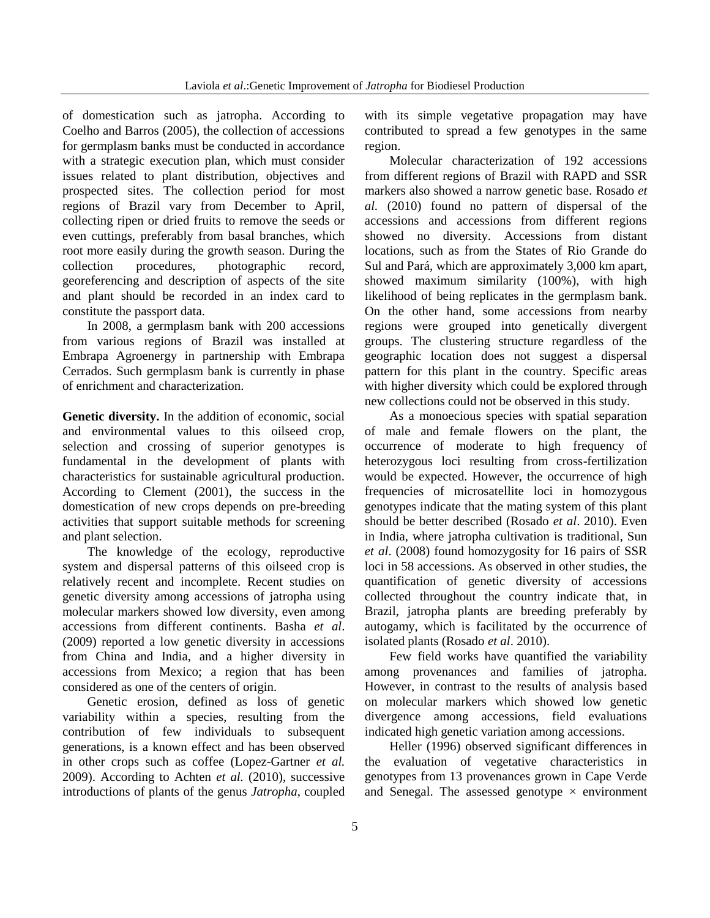of domestication such as jatropha. According to Coelho and Barros (2005), the collection of accessions for germplasm banks must be conducted in accordance with a strategic execution plan, which must consider issues related to plant distribution, objectives and prospected sites. The collection period for most regions of Brazil vary from December to April, collecting ripen or dried fruits to remove the seeds or even cuttings, preferably from basal branches, which root more easily during the growth season. During the collection procedures, photographic record, georeferencing and description of aspects of the site and plant should be recorded in an index card to constitute the passport data.

In 2008, a germplasm bank with 200 accessions from various regions of Brazil was installed at Embrapa Agroenergy in partnership with Embrapa Cerrados. Such germplasm bank is currently in phase of enrichment and characterization.

**Genetic diversity.** In the addition of economic, social and environmental values to this oilseed crop, selection and crossing of superior genotypes is fundamental in the development of plants with characteristics for sustainable agricultural production. According to Clement (2001), the success in the domestication of new crops depends on pre-breeding activities that support suitable methods for screening and plant selection.

The knowledge of the ecology, reproductive system and dispersal patterns of this oilseed crop is relatively recent and incomplete. Recent studies on genetic diversity among accessions of jatropha using molecular markers showed low diversity, even among accessions from different continents. Basha *et al*. (2009) reported a low genetic diversity in accessions from China and India, and a higher diversity in accessions from Mexico; a region that has been considered as one of the centers of origin.

Genetic erosion, defined as loss of genetic variability within a species, resulting from the contribution of few individuals to subsequent generations, is a known effect and has been observed in other crops such as coffee (Lopez-Gartner *et al.* 2009). According to Achten *et al.* (2010), successive introductions of plants of the genus *Jatropha*, coupled

with its simple vegetative propagation may have contributed to spread a few genotypes in the same region.

Molecular characterization of 192 accessions from different regions of Brazil with RAPD and SSR markers also showed a narrow genetic base. Rosado *et al.* (2010) found no pattern of dispersal of the accessions and accessions from different regions showed no diversity. Accessions from distant locations, such as from the States of Rio Grande do Sul and Pará, which are approximately 3,000 km apart, showed maximum similarity (100%), with high likelihood of being replicates in the germplasm bank. On the other hand, some accessions from nearby regions were grouped into genetically divergent groups. The clustering structure regardless of the geographic location does not suggest a dispersal pattern for this plant in the country. Specific areas with higher diversity which could be explored through new collections could not be observed in this study.

As a monoecious species with spatial separation of male and female flowers on the plant, the occurrence of moderate to high frequency of heterozygous loci resulting from cross-fertilization would be expected. However, the occurrence of high frequencies of microsatellite loci in homozygous genotypes indicate that the mating system of this plant should be better described (Rosado *et al*. 2010). Even in India, where jatropha cultivation is traditional, Sun *et al*. (2008) found homozygosity for 16 pairs of SSR loci in 58 accessions. As observed in other studies, the quantification of genetic diversity of accessions collected throughout the country indicate that, in Brazil, jatropha plants are breeding preferably by autogamy, which is facilitated by the occurrence of isolated plants (Rosado *et al*. 2010).

Few field works have quantified the variability among provenances and families of jatropha. However, in contrast to the results of analysis based on molecular markers which showed low genetic divergence among accessions, field evaluations indicated high genetic variation among accessions.

Heller (1996) observed significant differences in the evaluation of vegetative characteristics in genotypes from 13 provenances grown in Cape Verde and Senegal. The assessed genotype  $\times$  environment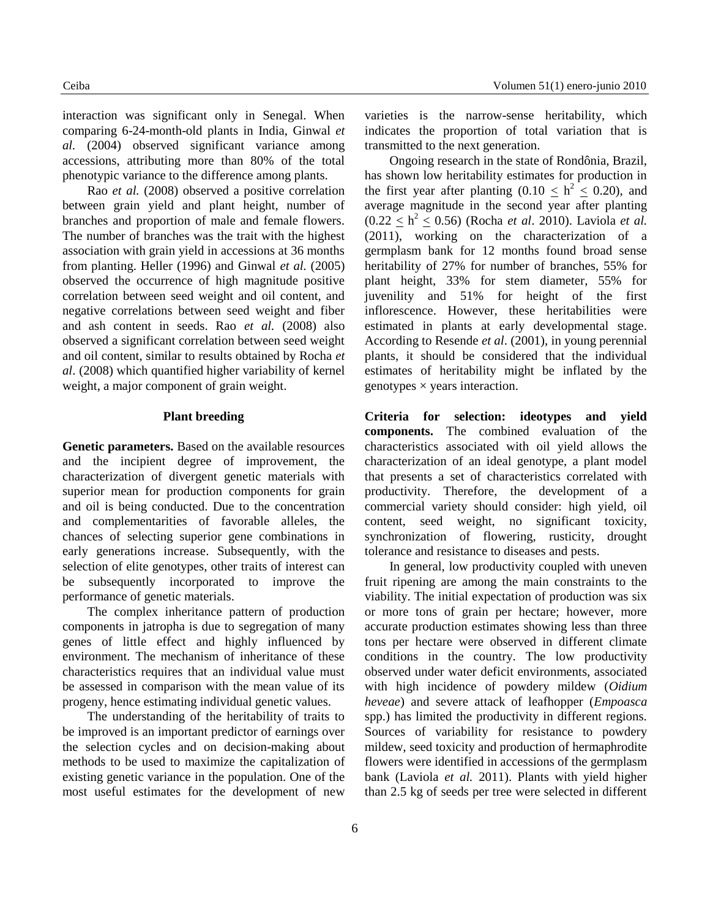interaction was significant only in Senegal. When comparing 6-24-month-old plants in India, Ginwal *et al.* (2004) observed significant variance among accessions, attributing more than 80% of the total phenotypic variance to the difference among plants.

Rao *et al.* (2008) observed a positive correlation between grain yield and plant height, number of branches and proportion of male and female flowers. The number of branches was the trait with the highest association with grain yield in accessions at 36 months from planting. Heller (1996) and Ginwal *et al.* (2005) observed the occurrence of high magnitude positive correlation between seed weight and oil content, and negative correlations between seed weight and fiber and ash content in seeds. Rao *et al.* (2008) also observed a significant correlation between seed weight and oil content, similar to results obtained by Rocha *et al*. (2008) which quantified higher variability of kernel weight, a major component of grain weight.

### **Plant breeding**

**Genetic parameters.** Based on the available resources and the incipient degree of improvement, the characterization of divergent genetic materials with superior mean for production components for grain and oil is being conducted. Due to the concentration and complementarities of favorable alleles, the chances of selecting superior gene combinations in early generations increase. Subsequently, with the selection of elite genotypes, other traits of interest can be subsequently incorporated to improve the performance of genetic materials.

The complex inheritance pattern of production components in jatropha is due to segregation of many genes of little effect and highly influenced by environment. The mechanism of inheritance of these characteristics requires that an individual value must be assessed in comparison with the mean value of its progeny, hence estimating individual genetic values.

The understanding of the heritability of traits to be improved is an important predictor of earnings over the selection cycles and on decision-making about methods to be used to maximize the capitalization of existing genetic variance in the population. One of the most useful estimates for the development of new varieties is the narrow-sense heritability, which indicates the proportion of total variation that is transmitted to the next generation.

Ongoing research in the state of Rondônia, Brazil, has shown low heritability estimates for production in the first year after planting  $(0.10 \le h^2 \le 0.20)$ , and average magnitude in the second year after planting  $(0.22 \le h^2 \le 0.56)$  (Rocha *et al.* 2010). Laviola *et al.* (2011), working on the characterization of a germplasm bank for 12 months found broad sense heritability of 27% for number of branches, 55% for plant height, 33% for stem diameter, 55% for juvenility and 51% for height of the first inflorescence. However, these heritabilities were estimated in plants at early developmental stage. According to Resende *et al*. (2001), in young perennial plants, it should be considered that the individual estimates of heritability might be inflated by the genotypes  $\times$  years interaction.

**Criteria for selection: ideotypes and yield components.** The combined evaluation of the characteristics associated with oil yield allows the characterization of an ideal genotype, a plant model that presents a set of characteristics correlated with productivity. Therefore, the development of a commercial variety should consider: high yield, oil content, seed weight, no significant toxicity, synchronization of flowering, rusticity, drought tolerance and resistance to diseases and pests.

In general, low productivity coupled with uneven fruit ripening are among the main constraints to the viability. The initial expectation of production was six or more tons of grain per hectare; however, more accurate production estimates showing less than three tons per hectare were observed in different climate conditions in the country. The low productivity observed under water deficit environments, associated with high incidence of powdery mildew (*Oidium heveae*) and severe attack of leafhopper (*Empoasca* spp.) has limited the productivity in different regions. Sources of variability for resistance to powdery mildew, seed toxicity and production of hermaphrodite flowers were identified in accessions of the germplasm bank (Laviola *et al.* 2011). Plants with yield higher than 2.5 kg of seeds per tree were selected in different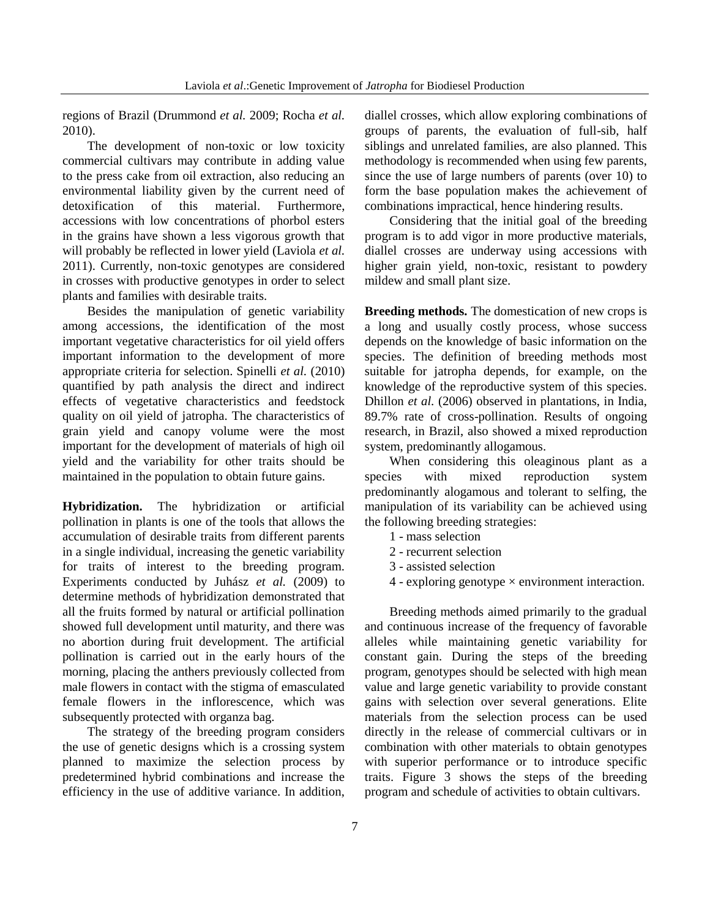regions of Brazil (Drummond *et al.* 2009; Rocha *et al.* 2010).

The development of non-toxic or low toxicity commercial cultivars may contribute in adding value to the press cake from oil extraction, also reducing an environmental liability given by the current need of detoxification of this material. Furthermore, accessions with low concentrations of phorbol esters in the grains have shown a less vigorous growth that will probably be reflected in lower yield (Laviola *et al.* 2011). Currently, non-toxic genotypes are considered in crosses with productive genotypes in order to select plants and families with desirable traits.

Besides the manipulation of genetic variability among accessions, the identification of the most important vegetative characteristics for oil yield offers important information to the development of more appropriate criteria for selection. Spinelli *et al.* (2010) quantified by path analysis the direct and indirect effects of vegetative characteristics and feedstock quality on oil yield of jatropha. The characteristics of grain yield and canopy volume were the most important for the development of materials of high oil yield and the variability for other traits should be maintained in the population to obtain future gains.

**Hybridization.** The hybridization or artificial pollination in plants is one of the tools that allows the accumulation of desirable traits from different parents in a single individual, increasing the genetic variability for traits of interest to the breeding program. Experiments conducted by Juhász *et al.* (2009) to determine methods of hybridization demonstrated that all the fruits formed by natural or artificial pollination showed full development until maturity, and there was no abortion during fruit development. The artificial pollination is carried out in the early hours of the morning, placing the anthers previously collected from male flowers in contact with the stigma of emasculated female flowers in the inflorescence, which was subsequently protected with organza bag.

The strategy of the breeding program considers the use of genetic designs which is a crossing system planned to maximize the selection process by predetermined hybrid combinations and increase the efficiency in the use of additive variance. In addition,

diallel crosses, which allow exploring combinations of groups of parents, the evaluation of full-sib, half siblings and unrelated families, are also planned. This methodology is recommended when using few parents, since the use of large numbers of parents (over 10) to form the base population makes the achievement of combinations impractical, hence hindering results.

Considering that the initial goal of the breeding program is to add vigor in more productive materials, diallel crosses are underway using accessions with higher grain yield, non-toxic, resistant to powdery mildew and small plant size.

**Breeding methods.** The domestication of new crops is a long and usually costly process, whose success depends on the knowledge of basic information on the species. The definition of breeding methods most suitable for jatropha depends, for example, on the knowledge of the reproductive system of this species. Dhillon *et al.* (2006) observed in plantations, in India, 89.7% rate of cross-pollination. Results of ongoing research, in Brazil, also showed a mixed reproduction system, predominantly allogamous.

When considering this oleaginous plant as a species with mixed reproduction system predominantly alogamous and tolerant to selfing, the manipulation of its variability can be achieved using the following breeding strategies:

- 1 mass selection
- 2 recurrent selection
- 3 assisted selection
- $4$  exploring genotype  $\times$  environment interaction.

Breeding methods aimed primarily to the gradual and continuous increase of the frequency of favorable alleles while maintaining genetic variability for constant gain. During the steps of the breeding program, genotypes should be selected with high mean value and large genetic variability to provide constant gains with selection over several generations. Elite materials from the selection process can be used directly in the release of commercial cultivars or in combination with other materials to obtain genotypes with superior performance or to introduce specific traits. Figure 3 shows the steps of the breeding program and schedule of activities to obtain cultivars.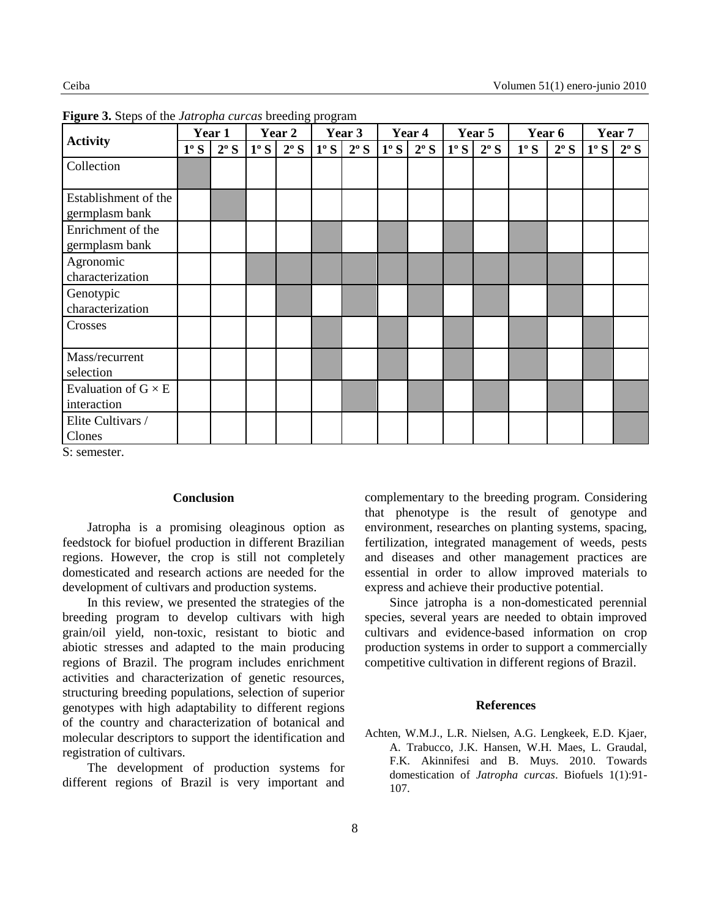| <b>Activity</b>                           | Year 1 |               | Year 2      |               | Year 3      |               | Year 4      |               | Year 5      |               | Year 6 |               | Year 7      |               |
|-------------------------------------------|--------|---------------|-------------|---------------|-------------|---------------|-------------|---------------|-------------|---------------|--------|---------------|-------------|---------------|
|                                           | 1°S    | $2^{\circ} S$ | $1^\circ S$ | $2^{\circ} S$ | $1^\circ S$ | $2^{\circ} S$ | $1^\circ S$ | $2^{\circ} S$ | $1^\circ S$ | $2^{\circ} S$ | 1°S    | $2^{\circ} S$ | $1^\circ S$ | $2^{\circ} S$ |
| Collection                                |        |               |             |               |             |               |             |               |             |               |        |               |             |               |
| Establishment of the<br>germplasm bank    |        |               |             |               |             |               |             |               |             |               |        |               |             |               |
| Enrichment of the<br>germplasm bank       |        |               |             |               |             |               |             |               |             |               |        |               |             |               |
| Agronomic<br>characterization             |        |               |             |               |             |               |             |               |             |               |        |               |             |               |
| Genotypic<br>characterization             |        |               |             |               |             |               |             |               |             |               |        |               |             |               |
| Crosses                                   |        |               |             |               |             |               |             |               |             |               |        |               |             |               |
| Mass/recurrent<br>selection               |        |               |             |               |             |               |             |               |             |               |        |               |             |               |
| Evaluation of $G \times E$<br>interaction |        |               |             |               |             |               |             |               |             |               |        |               |             |               |
| Elite Cultivars /<br>Clones               |        |               |             |               |             |               |             |               |             |               |        |               |             |               |

**Figure 3.** Steps of the *Jatropha curcas* breeding program

S: semester.

## **Conclusion**

Jatropha is a promising oleaginous option as feedstock for biofuel production in different Brazilian regions. However, the crop is still not completely domesticated and research actions are needed for the development of cultivars and production systems.

In this review, we presented the strategies of the breeding program to develop cultivars with high grain/oil yield, non-toxic, resistant to biotic and abiotic stresses and adapted to the main producing regions of Brazil. The program includes enrichment activities and characterization of genetic resources, structuring breeding populations, selection of superior genotypes with high adaptability to different regions of the country and characterization of botanical and molecular descriptors to support the identification and registration of cultivars.

The development of production systems for different regions of Brazil is very important and

complementary to the breeding program. Considering that phenotype is the result of genotype and environment, researches on planting systems, spacing, fertilization, integrated management of weeds, pests and diseases and other management practices are essential in order to allow improved materials to express and achieve their productive potential.

Since jatropha is a non-domesticated perennial species, several years are needed to obtain improved cultivars and evidence-based information on crop production systems in order to support a commercially competitive cultivation in different regions of Brazil.

## **References**

Achten, W.M.J., L.R. Nielsen, A.G. Lengkeek, E.D. Kjaer, A. Trabucco, J.K. Hansen, W.H. Maes, L. Graudal, F.K. Akinnifesi and B. Muys. 2010. Towards domestication of *Jatropha curcas*. Biofuels 1(1):91- 107.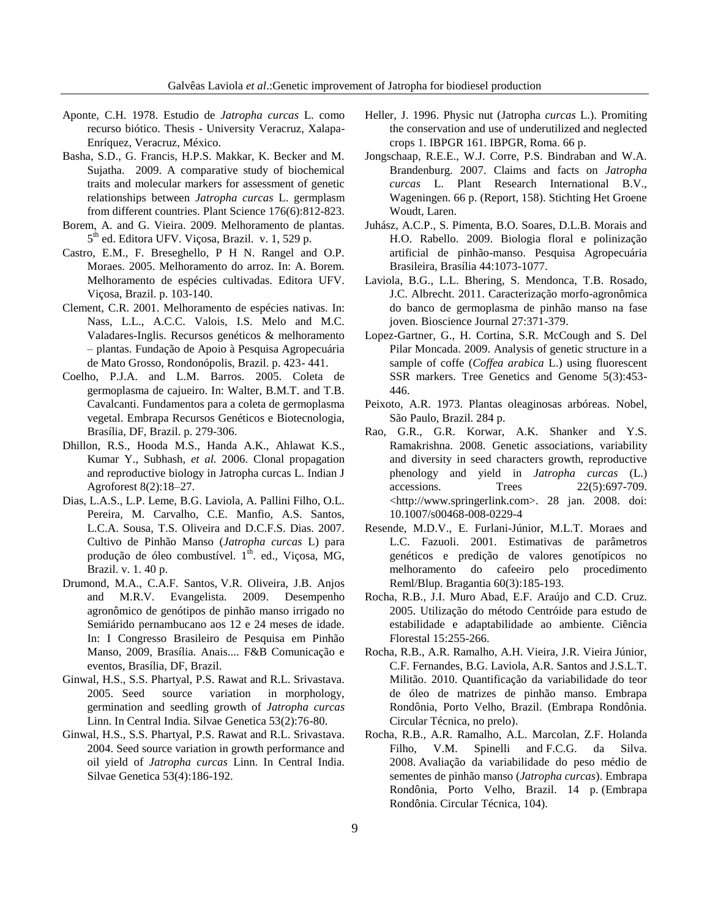- Aponte, C.H. 1978. Estudio de *Jatropha curcas* L. como recurso biótico. Thesis - University Veracruz, Xalapa-Enríquez, Veracruz, México.
- Basha, S.D., G. Francis, H.P.S. Makkar, K. Becker and M. Sujatha. 2009. A comparative study of biochemical traits and molecular markers for assessment of genetic relationships between *Jatropha curcas* L. germplasm from different countries. Plant Science 176(6):812-823.
- Borem, A. and G. Vieira. 2009. Melhoramento de plantas. 5<sup>th</sup> ed. Editora UFV. Viçosa, Brazil. v. 1, 529 p.
- Castro, E.M., F. Breseghello, P H N. Rangel and O.P. Moraes. 2005. Melhoramento do arroz. In: A. Borem. Melhoramento de espécies cultivadas. Editora UFV. Viçosa, Brazil. p. 103-140.
- Clement, C.R. 2001. Melhoramento de espécies nativas. In: Nass, L.L., A.C.C. Valois, I.S. Melo and M.C. Valadares-Inglis. Recursos genéticos & melhoramento – plantas. Fundação de Apoio à Pesquisa Agropecuária de Mato Grosso, Rondonópolis, Brazil. p. 423- 441.
- Coelho, P.J.A. and L.M. Barros. 2005. Coleta de germoplasma de cajueiro. In: Walter, B.M.T. and T.B. Cavalcanti. Fundamentos para a coleta de germoplasma vegetal. Embrapa Recursos Genéticos e Biotecnologia, Brasília, DF, Brazil. p. 279-306.
- Dhillon, R.S., Hooda M.S., Handa A.K., Ahlawat K.S., Kumar Y., Subhash, *et al.* 2006. Clonal propagation and reproductive biology in Jatropha curcas L. Indian J Agroforest 8(2):18–27.
- Dias, L.A.S., L.P. Leme, B.G. Laviola, A. Pallini Filho, O.L. Pereira, M. Carvalho, C.E. Manfio, A.S. Santos, L.C.A. Sousa, T.S. Oliveira and D.C.F.S. Dias. 2007. Cultivo de Pinhão Manso (*Jatropha curcas* L) para produção de óleo combustível.  $1<sup>th</sup>$ . ed., Viçosa, MG, Brazil. v. 1. 40 p.
- Drumond, M.A., C.A.F. Santos, V.R. Oliveira, J.B. Anjos and M.R.V. Evangelista. 2009. Desempenho agronômico de genótipos de pinhão manso irrigado no Semiárido pernambucano aos 12 e 24 meses de idade. In: I Congresso Brasileiro de Pesquisa em Pinhão Manso, 2009, Brasília. Anais.... F&B Comunicação e eventos, Brasília, DF, Brazil.
- Ginwal, H.S., S.S. Phartyal, P.S. Rawat and R.L. Srivastava. 2005. Seed source variation in morphology, germination and seedling growth of *Jatropha curcas* Linn. In Central India. Silvae Genetica 53(2):76-80.
- Ginwal, H.S., S.S. Phartyal, P.S. Rawat and R.L. Srivastava. 2004. Seed source variation in growth performance and oil yield of *Jatropha curcas* Linn. In Central India. Silvae Genetica 53(4):186-192.
- Heller, J. 1996. Physic nut (Jatropha *curcas* L.). Promiting the conservation and use of underutilized and neglected crops 1. IBPGR 161. IBPGR, Roma. 66 p.
- Jongschaap, R.E.E., W.J. Corre, P.S. Bindraban and W.A. Brandenburg. 2007. Claims and facts on *Jatropha curcas* L. Plant Research International B.V., Wageningen. 66 p. (Report, 158). Stichting Het Groene Woudt, Laren.
- Juhász, A.C.P., S. Pimenta, B.O. Soares, D.L.B. Morais and H.O. Rabello. 2009. Biologia floral e polinização artificial de pinhão-manso. Pesquisa Agropecuária Brasileira, Brasília 44:1073-1077.
- Laviola, B.G., L.L. Bhering, S. Mendonca, T.B. Rosado, J.C. Albrecht. 2011. Caracterização morfo-agronômica do banco de germoplasma de pinhão manso na fase joven. Bioscience Journal 27:371-379.
- Lopez-Gartner, G., H. Cortina, S.R. McCough and S. Del Pilar Moncada. 2009. Analysis of genetic structure in a sample of coffe (*Coffea arabica* L.) using fluorescent SSR markers. Tree Genetics and Genome 5(3):453- 446.
- Peixoto, A.R. 1973. Plantas oleaginosas arbóreas. Nobel, São Paulo, Brazil. 284 p.
- Rao, G.R., G.R. Korwar, A.K. Shanker and Y.S. Ramakrishna. 2008. Genetic associations, variability and diversity in seed characters growth, reproductive phenology and yield in *Jatropha curcas* (L.) accessions. Trees 22(5):697-709. <http://www.springerlink.com>. 28 jan. 2008. doi: 10.1007/s00468-008-0229-4
- Resende, M.D.V., E. Furlani-Júnior, M.L.T. Moraes and L.C. Fazuoli. 2001. Estimativas de parâmetros genéticos e predição de valores genotípicos no melhoramento do cafeeiro pelo procedimento Reml/Blup. Bragantia 60(3):185-193.
- Rocha, R.B., J.I. Muro Abad, E.F. Araújo and C.D. Cruz. 2005. Utilização do método Centróide para estudo de estabilidade e adaptabilidade ao ambiente. Ciência Florestal 15:255-266.
- Rocha, R.B., A.R. Ramalho, A.H. Vieira, J.R. Vieira Júnior, C.F. Fernandes, B.G. Laviola, A.R. Santos and J.S.L.T. Militão. 2010. Quantificação da variabilidade do teor de óleo de matrizes de pinhão manso. Embrapa Rondônia, Porto Velho, Brazil. (Embrapa Rondônia. Circular Técnica, no prelo).
- Rocha, R.B., A.R. Ramalho, A.L. Marcolan, Z.F. Holanda Filho, V.M. Spinelli and F.C.G. da Silva. 2008. Avaliação da variabilidade do peso médio de sementes de pinhão manso (*Jatropha curcas*). Embrapa Rondônia, Porto Velho, Brazil. 14 p. (Embrapa Rondônia. Circular Técnica, 104).